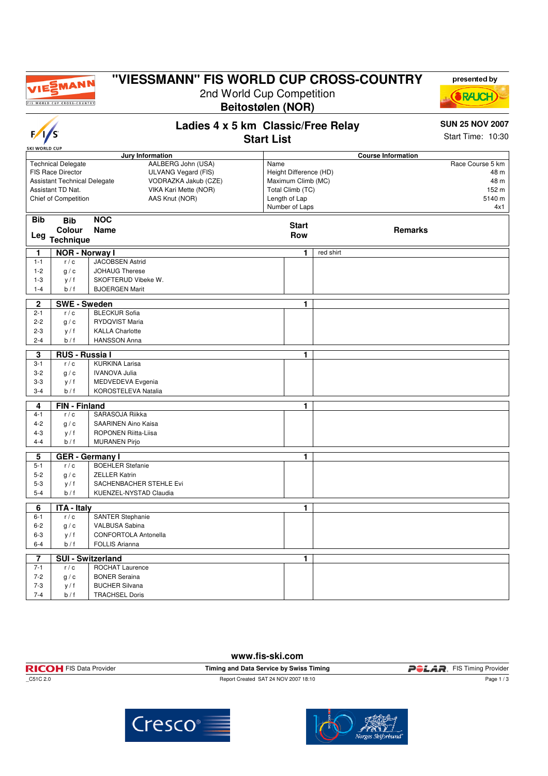

 $F/I/S$ 

### **"VIESSMANN" FIS WORLD CUP CROSS-COUNTRY**

2nd World Cup Competition **Beitostølen (NOR)**



# **Ladies 4 x 5 km Classic/Free Relay**

## **SUN 25 NOV 2007**

**Start List**

Start Time: 10:30

| <b>SKI WORLD CUP</b>                                     |                                                                  |                                                   |                                         |                                              |                                   |           |                |                  |
|----------------------------------------------------------|------------------------------------------------------------------|---------------------------------------------------|-----------------------------------------|----------------------------------------------|-----------------------------------|-----------|----------------|------------------|
| Jury Information<br><b>Technical Delegate</b>            |                                                                  |                                                   | <b>Course Information</b>               |                                              |                                   |           |                |                  |
|                                                          |                                                                  |                                                   | AALBERG John (USA)                      | Name                                         |                                   |           |                | Race Course 5 km |
|                                                          | FIS Race Director<br>ULVANG Vegard (FIS)<br>VODRAZKA Jakub (CZE) |                                                   |                                         | Height Difference (HD)<br>Maximum Climb (MC) |                                   |           | 48 m           |                  |
| <b>Assistant Technical Delegate</b><br>Assistant TD Nat. |                                                                  |                                                   |                                         |                                              |                                   | 48 m      |                |                  |
|                                                          | Chief of Competition                                             |                                                   | VIKA Kari Mette (NOR)<br>AAS Knut (NOR) |                                              | Total Climb (TC)<br>Length of Lap |           |                | 152 m<br>5140 m  |
|                                                          |                                                                  |                                                   |                                         |                                              | Number of Laps                    |           |                | 4x1              |
|                                                          |                                                                  |                                                   |                                         |                                              |                                   |           |                |                  |
| <b>Bib</b>                                               | <b>Bib</b>                                                       | <b>NOC</b>                                        |                                         |                                              | <b>Start</b>                      |           |                |                  |
|                                                          | Colour                                                           | <b>Name</b>                                       |                                         |                                              | Row                               |           | <b>Remarks</b> |                  |
|                                                          | Leg Technique                                                    |                                                   |                                         |                                              |                                   |           |                |                  |
| 1                                                        | <b>NOR - Norway I</b>                                            |                                                   |                                         |                                              | 1                                 | red shirt |                |                  |
| $1 - 1$                                                  | r/c                                                              | <b>JACOBSEN Astrid</b>                            |                                         |                                              |                                   |           |                |                  |
| $1 - 2$                                                  | g/c                                                              | <b>JOHAUG Therese</b>                             |                                         |                                              |                                   |           |                |                  |
| $1 - 3$                                                  | y / f                                                            | SKOFTERUD Vibeke W.                               |                                         |                                              |                                   |           |                |                  |
| $1 - 4$                                                  | b / f                                                            | <b>BJOERGEN Marit</b>                             |                                         |                                              |                                   |           |                |                  |
|                                                          |                                                                  |                                                   |                                         |                                              |                                   |           |                |                  |
| $\overline{2}$<br>$2 - 1$                                | <b>SWE-Sweden</b><br>r/c                                         | <b>BLECKUR Sofia</b>                              |                                         |                                              | 1.                                |           |                |                  |
|                                                          |                                                                  |                                                   |                                         |                                              |                                   |           |                |                  |
| $2 - 2$                                                  | q/c                                                              | <b>RYDQVIST Maria</b>                             |                                         |                                              |                                   |           |                |                  |
| $2 - 3$<br>$2 - 4$                                       | v / f<br>b/f                                                     | <b>KALLA Charlotte</b><br><b>HANSSON Anna</b>     |                                         |                                              |                                   |           |                |                  |
|                                                          |                                                                  |                                                   |                                         |                                              |                                   |           |                |                  |
| 3                                                        | <b>RUS - Russia I</b>                                            |                                                   |                                         |                                              | 1.                                |           |                |                  |
| $3 - 1$                                                  | r/c                                                              | <b>KURKINA Larisa</b>                             |                                         |                                              |                                   |           |                |                  |
| $3 - 2$                                                  | q/c                                                              | <b>IVANOVA Julia</b>                              |                                         |                                              |                                   |           |                |                  |
| $3-3$                                                    | y / f                                                            | MEDVEDEVA Evgenia                                 |                                         |                                              |                                   |           |                |                  |
| $3 - 4$                                                  | b/f                                                              | KOROSTELEVA Natalia                               |                                         |                                              |                                   |           |                |                  |
| 4                                                        | <b>FIN</b> - Finland                                             |                                                   |                                         |                                              | 1                                 |           |                |                  |
| $4 - 1$                                                  | r/c                                                              | SARASOJA Riikka                                   |                                         |                                              |                                   |           |                |                  |
| $4 - 2$                                                  | q/c                                                              | SAARINEN Aino Kaisa                               |                                         |                                              |                                   |           |                |                  |
| $4 - 3$                                                  | y / f                                                            | ROPONEN Riitta-Liisa                              |                                         |                                              |                                   |           |                |                  |
| $4 - 4$                                                  | b/f                                                              | <b>MURANEN Pirjo</b>                              |                                         |                                              |                                   |           |                |                  |
|                                                          |                                                                  |                                                   |                                         |                                              |                                   |           |                |                  |
| 5<br>$5 - 1$                                             | r/c                                                              | <b>GER</b> - Germany I<br><b>BOEHLER Stefanie</b> |                                         |                                              | 1                                 |           |                |                  |
| $5 - 2$                                                  | q/c                                                              | <b>ZELLER Katrin</b>                              |                                         |                                              |                                   |           |                |                  |
| $5-3$                                                    | y / f                                                            | SACHENBACHER STEHLE Evi                           |                                         |                                              |                                   |           |                |                  |
| $5 - 4$                                                  | b/f                                                              | KUENZEL-NYSTAD Claudia                            |                                         |                                              |                                   |           |                |                  |
|                                                          |                                                                  |                                                   |                                         |                                              |                                   |           |                |                  |
| $\overline{6}$                                           | <b>ITA - Italy</b>                                               |                                                   |                                         |                                              | 1                                 |           |                |                  |
| $6 - 1$                                                  | r/c                                                              | <b>SANTER Stephanie</b>                           |                                         |                                              |                                   |           |                |                  |
| $6 - 2$                                                  | g/c                                                              | <b>VALBUSA Sabina</b>                             |                                         |                                              |                                   |           |                |                  |
| $6 - 3$                                                  | y / f                                                            | <b>CONFORTOLA Antonella</b>                       |                                         |                                              |                                   |           |                |                  |
| $6 - 4$                                                  | b/f                                                              | <b>FOLLIS Arianna</b>                             |                                         |                                              |                                   |           |                |                  |
| 7                                                        |                                                                  | <b>SUI - Switzerland</b>                          |                                         |                                              | 1.                                |           |                |                  |
| $7 - 1$                                                  | r/c                                                              | ROCHAT Laurence                                   |                                         |                                              |                                   |           |                |                  |
| $7 - 2$                                                  | q/c                                                              | <b>BONER Seraina</b>                              |                                         |                                              |                                   |           |                |                  |
| $7 - 3$                                                  | y/f                                                              | <b>BUCHER Silvana</b>                             |                                         |                                              |                                   |           |                |                  |
| $7 - 4$                                                  | b/f                                                              |                                                   |                                         |                                              |                                   |           |                |                  |
|                                                          |                                                                  | <b>TRACHSEL Doris</b>                             |                                         |                                              |                                   |           |                |                  |

**www.fis-ski.com**









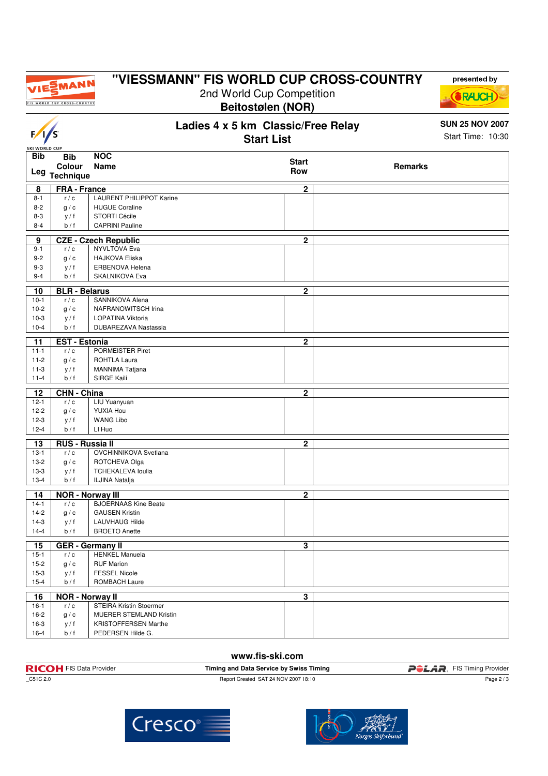

 $\overline{\phantom{a}}$ 

### **"VIESSMANN" FIS WORLD CUP CROSS-COUNTRY**

2nd World Cup Competition **Beitostølen (NOR)**

**Ladies 4 x 5 km Classic/Free Relay**

| V/S                         |                            |                                 | Start Time: 10:30       |                |  |
|-----------------------------|----------------------------|---------------------------------|-------------------------|----------------|--|
| SKI WORLD CUI<br><b>Bib</b> |                            |                                 |                         |                |  |
|                             | <b>Bib</b>                 | <b>NOC</b>                      | <b>Start</b>            |                |  |
| Leg                         | Colour<br><b>Technique</b> | Name                            | Row                     | <b>Remarks</b> |  |
| 8                           | <b>FRA</b> - France        |                                 | $\overline{2}$          |                |  |
| $8 - 1$                     | r/c                        | <b>LAURENT PHILIPPOT Karine</b> |                         |                |  |
| $8 - 2$                     | g/c                        | <b>HUGUE Coraline</b>           |                         |                |  |
| $8 - 3$                     | y / f                      | STORTI Cécile                   |                         |                |  |
| $8 - 4$                     | b/f                        | <b>CAPRINI Pauline</b>          |                         |                |  |
| 9                           |                            | <b>CZE - Czech Republic</b>     | $\mathbf{2}$            |                |  |
| $9 - 1$                     | r/c                        | <b>NYVLTOVA Eva</b>             |                         |                |  |
| $9 - 2$                     | g/c                        | <b>HAJKOVA Eliska</b>           |                         |                |  |
| $9 - 3$                     | y / f                      | <b>ERBENOVA Helena</b>          |                         |                |  |
| $9 - 4$                     | b/f                        | <b>SKALNIKOVA Eva</b>           |                         |                |  |
| 10                          | <b>BLR - Belarus</b>       |                                 | $\overline{2}$          |                |  |
| $10 - 1$                    | r/c                        | SANNIKOVA Alena                 |                         |                |  |
| $10-2$                      | g/c                        | NAFRANOWITSCH Irina             |                         |                |  |
| $10-3$                      | y / f                      | LOPATINA Viktoria               |                         |                |  |
| $10 - 4$                    | b/f                        | DUBAREZAVA Nastassia            |                         |                |  |
| 11                          | <b>EST - Estonia</b>       |                                 | $\mathbf{2}$            |                |  |
| $11 - 1$                    | r/c                        | PORMEISTER Piret                |                         |                |  |
| $11 - 2$                    | g/c                        | ROHTLA Laura                    |                         |                |  |
| $11-3$                      | y / f                      | MANNIMA Tatjana                 |                         |                |  |
| $11 - 4$                    | b/f                        | SIRGE Kaili                     |                         |                |  |
| 12                          | <b>CHN - China</b>         |                                 | $\mathbf{2}$            |                |  |
| $12 - 1$                    | r/c                        | LIU Yuanyuan                    |                         |                |  |
| $12 - 2$                    | g/c                        | YUXIA Hou                       |                         |                |  |
| $12-3$                      | y / f                      | <b>WANG Libo</b>                |                         |                |  |
| $12 - 4$                    | b / f                      | LI Huo                          |                         |                |  |
| 13                          | <b>RUS - Russia II</b>     |                                 | $\overline{2}$          |                |  |
| $13-1$                      | r/c                        | OVCHINNIKOVA Svetlana           |                         |                |  |
| $13-2$                      | g/c                        | ROTCHEVA Olga                   |                         |                |  |
| $13-3$                      | y/f                        | <b>TCHEKALEVA loulia</b>        |                         |                |  |
| $13 - 4$                    | b/f                        | ILJINA Natalja                  |                         |                |  |
| 14                          | <b>NOR - Norway III</b>    |                                 | $\overline{2}$          |                |  |
| $14-1$                      | r/c                        | <b>BJOERNAAS Kine Beate</b>     |                         |                |  |
| $14-2$                      | g/c                        | <b>GAUSEN Kristin</b>           |                         |                |  |
| $14-3$                      | y / f                      | <b>LAUVHAUG Hilde</b>           |                         |                |  |
| $14 - 4$                    | b/f                        | <b>BROETO Anette</b>            |                         |                |  |
|                             | 15   GER - Germany II      |                                 | $\overline{\mathbf{3}}$ |                |  |
| $15-1$                      | r/c                        | <b>HENKEL Manuela</b>           |                         |                |  |
| $15-2$                      | g/c                        | <b>RUF Marion</b>               |                         |                |  |
| $15-3$                      | y / f                      | <b>FESSEL Nicole</b>            |                         |                |  |
| $15 - 4$                    | b/f                        | ROMBACH Laure                   |                         |                |  |
| 16                          | <b>NOR - Norway II</b>     |                                 | $\overline{\mathbf{3}}$ |                |  |
| $16-1$                      | r/c                        | <b>STEIRA Kristin Stoermer</b>  |                         |                |  |
| $16-2$                      | g/c                        | MUERER STEMLAND Kristin         |                         |                |  |
| $16-3$                      | y/f                        | <b>KRISTOFFERSEN Marthe</b>     |                         |                |  |
| $16 - 4$                    | b/f                        | PEDERSEN Hilde G.               |                         |                |  |

#### **www.fis-ski.com**

| <b>RICOH</b> FIS Data Provider | Timing and Data Service by Swiss Timing | <i><b>POLAR</b></i><br>FIS Timing Provider |
|--------------------------------|-----------------------------------------|--------------------------------------------|
| _C51C 2.0                      | Report Created SAT 24 NOV 2007 18:10    | Page $2/3$                                 |



Cresco®



**SUN 25 NOV 2007**

presented by

**(SRAUCH)**